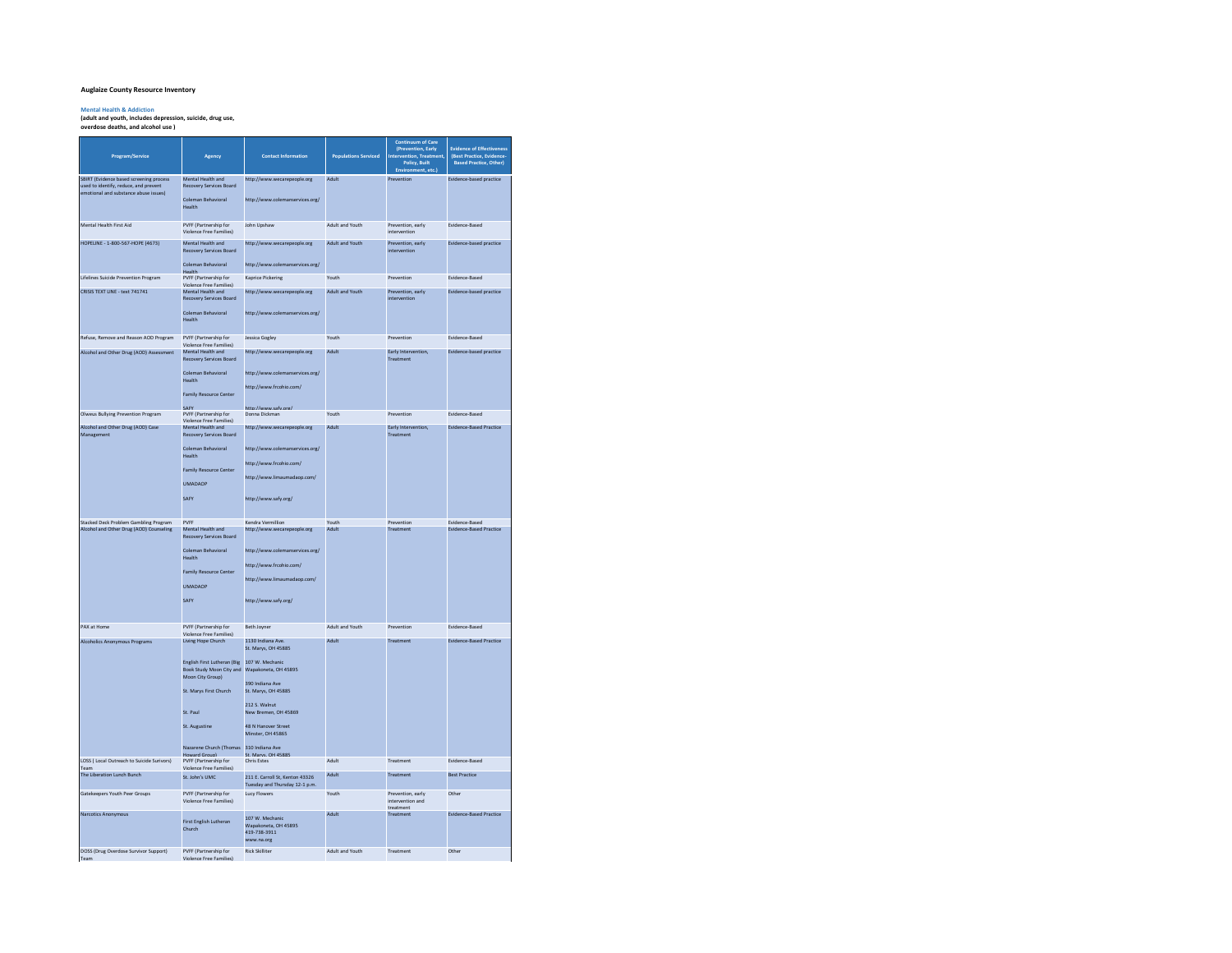## **Auglaize County Resource Inventory**

**Mental Health & Addiction (adult and youth, includes depression, suicide, drug use, overdose deaths, and alcohol use )**

| Program/Service                                                                  | Agency                                                                                                                                                                                                                      | <b>Contact Information</b>                                                                                                                                                                                                                | <b>Populations Serviced</b> | Continuum of Care<br>(Prevention, Early<br>Intervention, Treatment,<br>Policy, Built<br>Environment, etc. | <b>Evidence of Effectiveness</b><br>(Best Practice, Evidence-<br><b>Based Practice, Other)</b> |
|----------------------------------------------------------------------------------|-----------------------------------------------------------------------------------------------------------------------------------------------------------------------------------------------------------------------------|-------------------------------------------------------------------------------------------------------------------------------------------------------------------------------------------------------------------------------------------|-----------------------------|-----------------------------------------------------------------------------------------------------------|------------------------------------------------------------------------------------------------|
| SBIRT (Evidence based screening process<br>used to identify, reduce, and prevent | Mental Health and<br>Recovery Services Board                                                                                                                                                                                | http://www.wecarepeople.org                                                                                                                                                                                                               | Adult                       | Prevention                                                                                                | Evidence-based practice                                                                        |
| emotional and substance abuse issues)                                            | Coleman Behavioral<br>Health                                                                                                                                                                                                | http://www.colemanservices.org/                                                                                                                                                                                                           |                             |                                                                                                           |                                                                                                |
| Mental Health First Aid                                                          | PVFF (Partnership for<br><b>Violence Free Families)</b>                                                                                                                                                                     | <b>John Unshaw</b>                                                                                                                                                                                                                        | Adult and Youth             | Prevention, early<br>intervention                                                                         | <b>Fvidence-Based</b>                                                                          |
| HOPELINE - 1-800-567-HOPE (4673)                                                 | Mental Health and<br>Recovery Services Board<br>Coleman Behavioral                                                                                                                                                          | http://www.wecarepeople.org<br>http://www.colemanservices.org/                                                                                                                                                                            | Adult and Youth             | Prevention, early<br>ntervention                                                                          | Evidence-based practice                                                                        |
| Lifelines Suicide Prevention Program                                             | <b>Health</b><br>PVFF (Partnership for                                                                                                                                                                                      | <b>Kaprice Pickering</b>                                                                                                                                                                                                                  | Youth                       | Prevention                                                                                                | Evidence-Based                                                                                 |
| CRISIS TEXT LINE - text 741741                                                   | Violence Free Families)<br>Mental Health and                                                                                                                                                                                | http://www.wecarepeople.org                                                                                                                                                                                                               | Adult and Youth             | Prevention, early                                                                                         | Evidence-based practice                                                                        |
|                                                                                  | Recovery Services Board<br>Coleman Behavioral<br>Health                                                                                                                                                                     | http://www.colemanservices.org/                                                                                                                                                                                                           |                             | intervention                                                                                              |                                                                                                |
| Refuse, Remove and Reason AOD Program                                            | PVFF (Partnership for<br>Violence Free Families)                                                                                                                                                                            | <b>Jessica Gogley</b>                                                                                                                                                                                                                     | Youth                       | Prevention                                                                                                | Evidence-Based                                                                                 |
| Alcohol and Other Drug (AOD) Assessment                                          | Mental Health and                                                                                                                                                                                                           | http://www.wecarepeople.org                                                                                                                                                                                                               | Adult                       | Early Intervention,                                                                                       | Evidence-based practice                                                                        |
|                                                                                  | Recovery Services Board<br>Coleman Rehavioral<br>Health<br><b>Family Resource Center</b>                                                                                                                                    | http://www.colemanservices.org/<br>http://www.frcohio.com/<br>$\overline{\phantom{a}}$<br>$\mathbf{A}$                                                                                                                                    |                             | Treatment                                                                                                 |                                                                                                |
| Olweus Bullying Prevention Program                                               | PVFF (Partnership for<br>Violence Free Families)                                                                                                                                                                            | Donna Dickman                                                                                                                                                                                                                             | Youth                       | Prevention                                                                                                | Evidence-Based                                                                                 |
| Alcohol and Other Drug (AOD) Case<br>Management                                  | Mental Health and<br>Recovery Services Board                                                                                                                                                                                | http://www.wecarepeople.org                                                                                                                                                                                                               | Adult                       | Early Intervention,<br>Treatment                                                                          | <b>Evidence-Based Practice</b>                                                                 |
|                                                                                  | Coleman Behavioral<br>Health<br><b>Family Resource Center</b><br><b>UMADAOP</b><br>SAFY                                                                                                                                     | http://www.colemanservices.org/<br>http://www.frcohio.com/<br>http://www.limaumadaop.com/<br>http://www.safv.org/                                                                                                                         |                             |                                                                                                           |                                                                                                |
| Stacked Deck Problem Gambling Program<br>Alcohol and Other Drug (AOD) Counseling | PVFF<br>Mental Health and                                                                                                                                                                                                   | Kendra Vermillion<br>http://www.wecarepeople.org                                                                                                                                                                                          | Youth<br>Adult              | Prevention<br>Treatment                                                                                   | Evidence-Based<br><b>Evidence-Based Practice</b>                                               |
|                                                                                  | Recovery Services Board<br>Coleman Behavioral<br>Health<br><b>Family Resource Center</b><br><b>UMADAOP</b><br>SAFY                                                                                                          | http://www.colemanservices.org/<br>http://www.frcohio.com/<br>http://www.limaumadaop.com/<br>http://www.safv.org/                                                                                                                         |                             |                                                                                                           |                                                                                                |
| PAX at Home                                                                      | PVFF (Partnership for<br>Violence Free Families)                                                                                                                                                                            | <b>Beth Joyner</b>                                                                                                                                                                                                                        | Adult and Youth             | Prevention                                                                                                | Evidence-Based                                                                                 |
| <b>Alcoholics Anonymous Programs</b>                                             | Living Hope Church<br>English First Lutheran (Big<br>Book Study Moon City and<br>Moon City Group)<br>St. Marys First Church<br>St. Paul<br>St. Augustine<br>Nazarene Church (Thomas 310 Indiana Ave<br><b>Howard Group)</b> | 1130 Indiana Ave.<br>St. Marys, OH 45885<br>107 W. Mechanic<br>Wapakoneta, OH 45895<br>390 Indiana Ave<br>St. Marys, OH 45885<br>212 S. Walnut<br>New Bremen, OH 45869<br>48 N Hanover Street<br>Minster, OH 45865<br>St. Marvs. OH 45885 | Adult                       | Treatment                                                                                                 | <b>Evidence-Based Practice</b>                                                                 |
| LOSS ( Local Outreach to Suicide Surivors)<br>Team                               | PVFF (Partnership for<br>Violence Free Families)                                                                                                                                                                            | <b>Chris Estes</b>                                                                                                                                                                                                                        | Adult                       | Treatment                                                                                                 | Evidence-Based                                                                                 |
| The Liberation Lunch Bunch                                                       | St. John's UMC                                                                                                                                                                                                              | 211 E. Carroll St, Kenton 43326<br>Tuesday and Thursday 12-1 p.m.                                                                                                                                                                         | Adult                       | Treatment                                                                                                 | <b>Best Practice</b>                                                                           |
| Gatekeepers Youth Peer Groups                                                    | PVFF (Partnership for<br>Violence Free Families)                                                                                                                                                                            | <b>Lucy Flowers</b>                                                                                                                                                                                                                       | Youth                       | Prevention, early<br>intervention and                                                                     | Other                                                                                          |
| Narcotics Anonymous                                                              | First English Lutheran<br>Church                                                                                                                                                                                            | 107 W. Mechanic<br>Wapakoneta, OH 45895<br>419-738-3911<br>www.na.org                                                                                                                                                                     | Adult                       | treatment<br>Treatment                                                                                    | <b>Evidence-Based Practice</b>                                                                 |
| DOSS (Drug Overdose Survivor Support)<br>Team                                    | PVFF (Partnership for<br><b>Violence Free Families)</b>                                                                                                                                                                     | <b>Rick Skilliter</b>                                                                                                                                                                                                                     | Adult and Youth             | Treatment                                                                                                 | Other                                                                                          |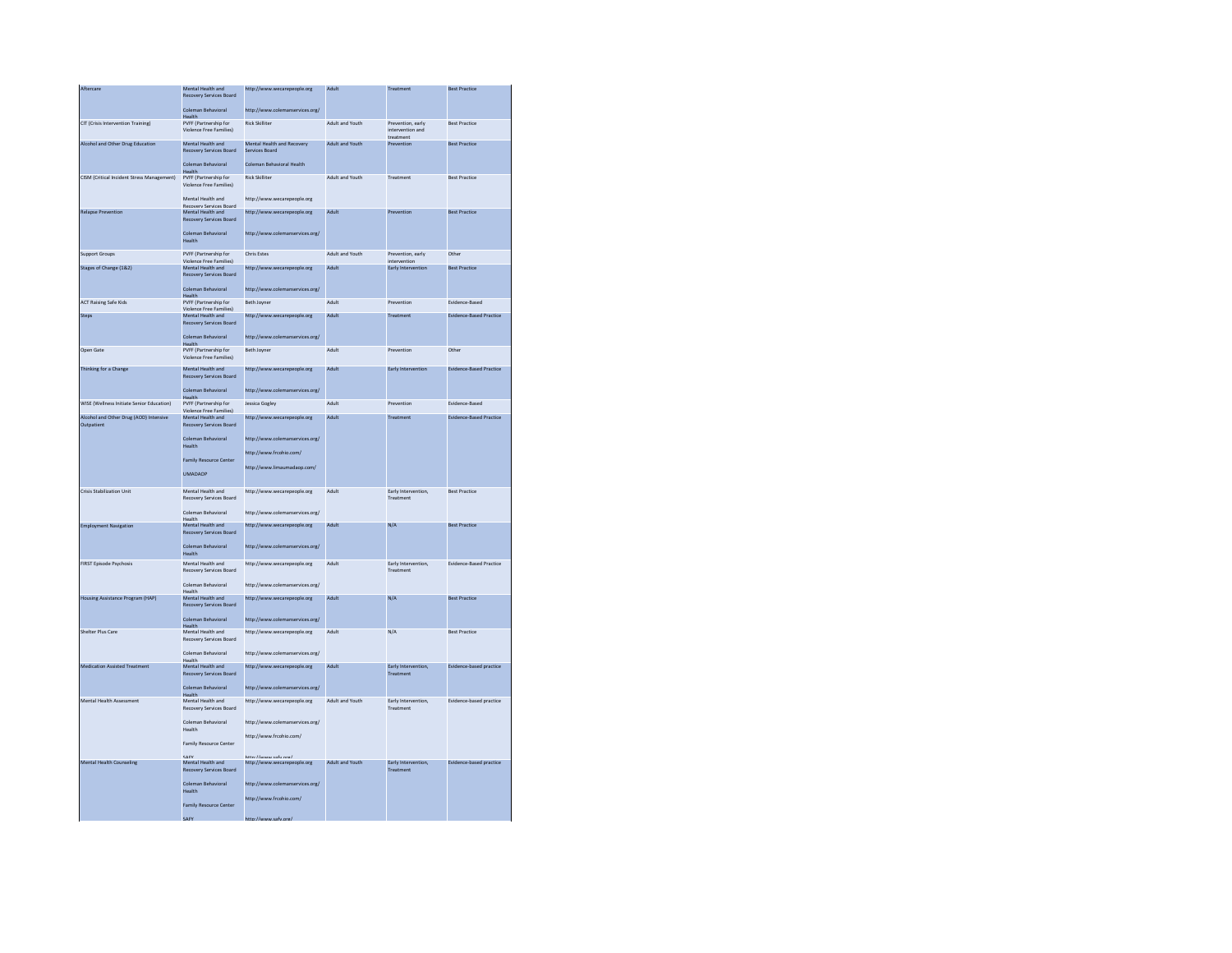| Aftercare                                            | Mental Health and                                              | http://www.wecarepeople.org                 | Adult           | Treatment                                          | <b>Best Practice</b>           |
|------------------------------------------------------|----------------------------------------------------------------|---------------------------------------------|-----------------|----------------------------------------------------|--------------------------------|
|                                                      | Recovery Services Board<br>Coleman Behavioral                  | http://www.colemanservices.org/             |                 |                                                    |                                |
|                                                      | Health                                                         |                                             |                 |                                                    |                                |
| CIT (Crisis Intervention Training)                   | PVFF (Partnership for<br>Violence Free Families)               | <b>Rick Skilliter</b>                       | Adult and Youth | Prevention, early<br>intervention and<br>treatment | <b>Best Practice</b>           |
| Alcohol and Other Drug Education                     | Mental Health and                                              | Mental Health and Recovery                  | Adult and Youth | Prevention                                         | <b>Rest Practice</b>           |
|                                                      | <b>Recovery Services Board</b><br>Coleman Behavioral           | Services Board<br>Coleman Behavioral Health |                 |                                                    |                                |
|                                                      | Health                                                         | <b>Rick Skilliter</b>                       |                 |                                                    |                                |
| CISM (Critical Incident Stress Management)           | PVFF (Partnership for<br>Violence Free Families)               |                                             | Adult and Youth | Treatment                                          | <b>Rest Practice</b>           |
|                                                      | Mental Health and                                              | http://www.wecarepeople.org                 |                 |                                                    |                                |
| <b>Relapse Prevention</b>                            | Recovery Services Roard<br>Mental Health and                   | http://www.wecarepeople.org                 | Adult           | Prevention                                         | <b>Best Practice</b>           |
|                                                      | <b>Recovery Services Board</b><br>Coleman Behavioral<br>Health | http://www.colemanservices.org/             |                 |                                                    |                                |
| Support Groups                                       | PVFF (Partnership for                                          | Chris Estes                                 | Adult and Youth | Prevention, early                                  | Other                          |
|                                                      | Violence Free Families)                                        |                                             |                 | intervention                                       |                                |
| Stages of Change (1&2)                               | Mental Health and                                              | http://www.wecarepeople.org                 | Adult           | Early Intervention                                 | <b>Best Practice</b>           |
|                                                      | Recovery Services Board<br>Coleman Behavioral                  | http://www.colemanservices.org/             |                 |                                                    |                                |
|                                                      | Health                                                         |                                             |                 |                                                    |                                |
| <b>ACT Raising Safe Kids</b>                         | PVFF (Partnership for<br>Violence Free Families)               | Beth Joyner                                 | Adult           | Prevention                                         | Evidence-Based                 |
| Steps                                                | Mental Health and                                              | http://www.wecarepeople.org                 | Adult           | Treatment                                          | <b>Evidence-Based Practice</b> |
|                                                      | <b>Recovery Services Board</b><br>Coleman Behavioral           | http://www.colemanservices.org/             |                 |                                                    |                                |
|                                                      | <b>Health</b>                                                  |                                             |                 |                                                    |                                |
| Open Gate                                            | PVFF (Partnership for<br><b>Violence Free Families)</b>        | Beth Joyner                                 | Adult           | Prevention                                         | Other                          |
| Thinking for a Change                                | Mental Health and                                              | http://www.wecarepeople.org                 | Adult           | Early Intervention                                 | <b>Evidence-Based Practice</b> |
|                                                      | Recovery Services Board<br>Coleman Behavioral                  | http://www.colemanservices.org/             |                 |                                                    |                                |
|                                                      | Health                                                         |                                             |                 |                                                    |                                |
| WISE (Wellness Initiate Senior Education)            | PVFF (Partnership for<br>Violence Free Families)               | <b>Jessica Gogley</b>                       | Adult           | Prevention                                         | Evidence-Based                 |
| Alcohol and Other Drug (AOD) Intensive<br>Outpatient | Mental Health and<br>Recovery Services Board                   | http://www.wecarepeople.org                 | Adult           | Treatment                                          | <b>Evidence-Based Practice</b> |
|                                                      | Coleman Behavioral<br>Health                                   | http://www.colemanservices.org/             |                 |                                                    |                                |
|                                                      |                                                                | http://www.frcohio.com/                     |                 |                                                    |                                |
|                                                      | <b>Family Resource Center</b>                                  | http://www.limaumadaop.com/                 |                 |                                                    |                                |
|                                                      | <b>UMADAOP</b>                                                 |                                             |                 |                                                    |                                |
| <b>Crisis Stabilization Unit</b>                     | Mental Health and                                              | http://www.wecarepeople.org                 | Adult           | Early Intervention.                                | <b>Rest Practice</b>           |
|                                                      | Recovery Services Board<br>Coleman Behavioral                  | http://www.colemanservices.org/             |                 | Treatment                                          |                                |
|                                                      | Health<br>Mental Health and                                    |                                             | Adult           | $N/\Delta$                                         | <b>Rest Practice</b>           |
| <b>Employment Navigation</b>                         | Recovery Services Board                                        | http://www.wecarepeople.org                 |                 |                                                    |                                |
|                                                      | Coleman Behavioral<br><b>Health</b>                            | http://www.colemanservices.org/             |                 |                                                    |                                |
| <b>FIRST Episode Psychosis</b>                       | Mental Health and<br>Recovery Services Board                   | http://www.wecarepeople.org                 | Adult           | Early Intervention,<br>Treatment                   | Evidence-Based Practice        |
|                                                      | Coleman Behavioral<br>Health                                   | http://www.colemanservices.org/             |                 |                                                    |                                |
| <b>Housing Assistance Program (HAP)</b>              | Mental Health and                                              | http://www.wecarepeople.org                 | Adult           | N/A                                                | <b>Best Practice</b>           |
|                                                      | Recovery Services Board<br>Coleman Behavioral                  |                                             |                 |                                                    |                                |
|                                                      | <b>Health</b>                                                  | http://www.colemanservices.org/             |                 |                                                    |                                |
| Shelter Plus Care                                    | Mental Health and<br>Recovery Services Board                   | http://www.wecarepeople.org                 | Adult           | N/A                                                | <b>Best Practice</b>           |
|                                                      | Coleman Behavioral                                             | http://www.colemanservices.org/             |                 |                                                    |                                |
| <b>Medication Assisted Treatment</b>                 | Health<br>Mental Health and                                    | http://www.wecarepeople.org                 | Adult           | Early Intervention,                                | Evidence-based practice        |
|                                                      | Recovery Services Board                                        |                                             |                 | Treatment                                          |                                |
|                                                      | Coleman Behavioral                                             | http://www.colemanservices.org/             |                 |                                                    |                                |
| Mental Health Assessment                             | Mental Health and<br>Recovery Services Board                   | http://www.wecarepeople.org                 | Adult and Youth | Early Intervention,<br>Treatment                   | Evidence-based practice        |
|                                                      | Coleman Behavioral<br>Health                                   | http://www.colemanservices.org/             |                 |                                                    |                                |
|                                                      | Family Resource Center                                         | http://www.frcohio.com/                     |                 |                                                    |                                |
|                                                      | CAEV                                                           | ttre / / www.cafu.org/                      |                 |                                                    |                                |
| <b>Mental Health Counseling</b>                      | Mental Health and<br>Recovery Services Board                   | http://www.wecarepeople.org                 | Adult and Youth | Early Intervention,<br>Treatment                   | Evidence-based practice        |
|                                                      | Coleman Behavioral<br>Health                                   | http://www.colemanservices.org/             |                 |                                                    |                                |
|                                                      | <b>Family Resource Center</b>                                  | http://www.frcohio.com/                     |                 |                                                    |                                |
|                                                      |                                                                |                                             |                 |                                                    |                                |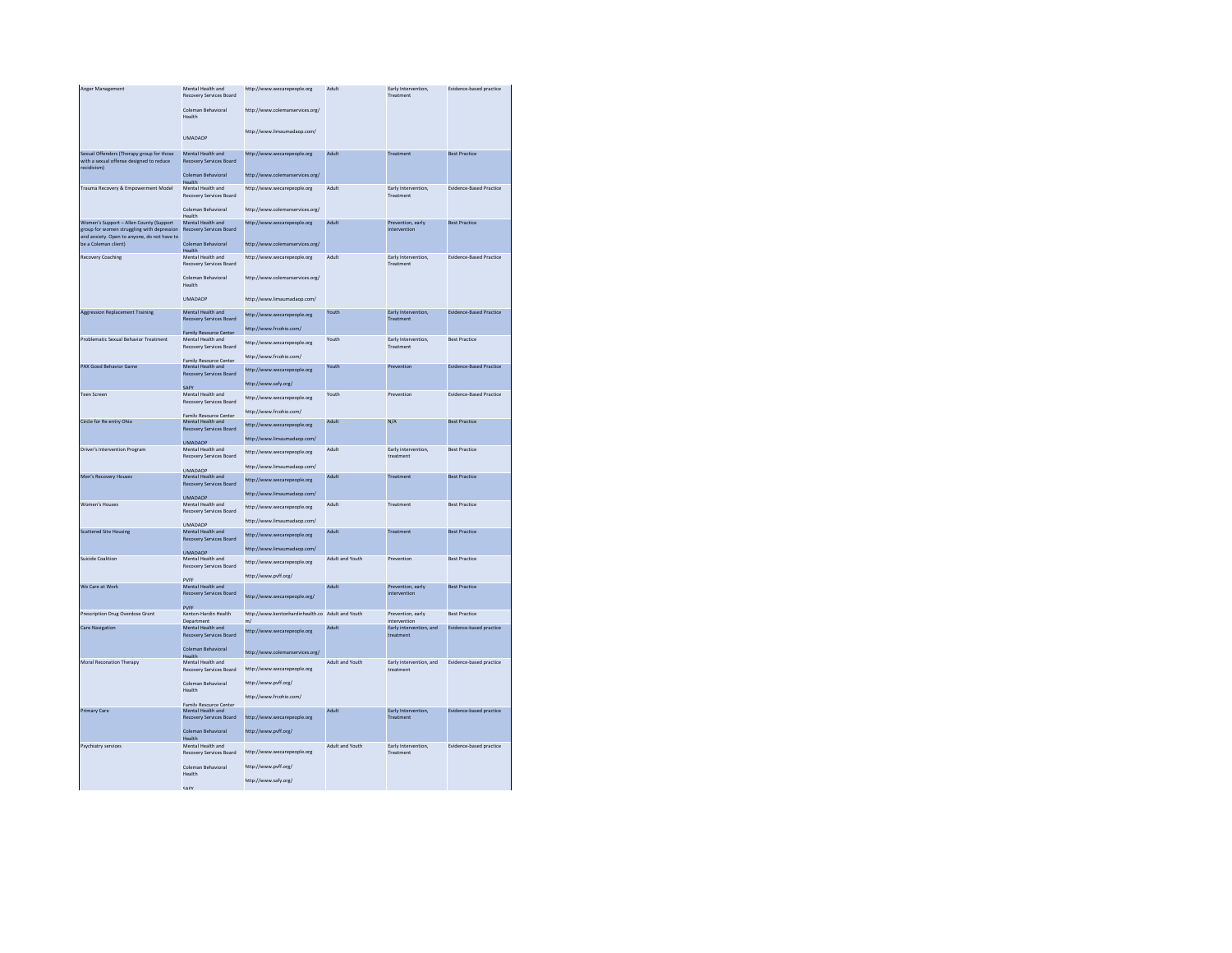| Anger Management                                                                                                                                             | Mental Health and<br>Recovery Services Board<br>Coleman Behavioral | http://www.wecarepeople.org<br>http://www.colemanservices.org/ | Adult           | Early Intervention,<br>Treatment     | Evidence-based practice        |
|--------------------------------------------------------------------------------------------------------------------------------------------------------------|--------------------------------------------------------------------|----------------------------------------------------------------|-----------------|--------------------------------------|--------------------------------|
|                                                                                                                                                              | Health                                                             | http://www.limaumadaop.com/                                    |                 |                                      |                                |
|                                                                                                                                                              | <b>UMADAOP</b>                                                     |                                                                |                 |                                      |                                |
| Sexual Offenders (Therapy group for those<br>with a sexual offense designed to reduce<br>recidivism)                                                         | Mental Health and<br>Recovery Services Board                       | http://www.wecarepeople.org                                    | Adult           | Treatment                            | <b>Best Practice</b>           |
|                                                                                                                                                              | Coleman Behavioral<br>Health                                       | http://www.colemanservices.org/                                |                 |                                      |                                |
| Trauma Recovery & Empowerment Model                                                                                                                          | Mental Health and<br>Recovery Services Board<br>Coleman Rehavioral | http://www.wecarepeople.org<br>http://www.colemanservices.org/ | Adult           | Early Intervention,<br>Treatment     | <b>Evidence-Based Practice</b> |
|                                                                                                                                                              | Health                                                             |                                                                |                 |                                      |                                |
| Women's Support - Allen County (Support<br>group for women struggling with depression<br>and anxiety. Open to anyone, do not have to<br>be a Coleman client) | Mental Health and<br>Recovery Services Board                       | http://www.wecarepeople.org                                    | Adult           | Prevention, early<br>intervention    | <b>Best Practice</b>           |
|                                                                                                                                                              | Coleman Behavioral<br>Health                                       | http://www.colemanservices.org/                                |                 |                                      |                                |
| <b>Recovery Coaching</b>                                                                                                                                     | Mental Health and<br>Recovery Services Board                       | http://www.wecarepeople.org                                    | Adult           | Early Intervention.<br>Treatment     | <b>Evidence-Based Practice</b> |
|                                                                                                                                                              | Coleman Behavioral<br>Health                                       | http://www.colemanservices.org/                                |                 |                                      |                                |
|                                                                                                                                                              | <b>UMADAOP</b>                                                     | http://www.limaumadaop.com/                                    |                 |                                      |                                |
| <b>Aggression Replacement Training</b>                                                                                                                       | Mental Health and<br>Recovery Services Board                       | http://www.wecarepeople.org                                    | Youth           | Early Intervention,<br>Treatment     | <b>Evidence-Based Practice</b> |
|                                                                                                                                                              | <b>Family Resource Center</b>                                      | http://www.frcohio.com/                                        |                 |                                      |                                |
| Problematic Sexual Behavior Treatment                                                                                                                        | Mental Health and<br>Recovery Services Board                       | http://www.wecarepeople.org                                    | Youth           | Early Intervention,<br>Treatment     | <b>Best Practice</b>           |
|                                                                                                                                                              | Family Resource Center                                             | http://www.frcohio.com/                                        |                 |                                      |                                |
| PAX Good Behavior Game                                                                                                                                       | Mental Health and<br><b>Recovery Services Board</b>                | http://www.wecarepeople.org                                    | Youth           | Prevention                           | <b>Evidence-Based Practice</b> |
|                                                                                                                                                              | SAEV                                                               | http://www.safy.org/                                           |                 |                                      |                                |
| <b>Teen Screen</b>                                                                                                                                           | Mental Health and<br>Recovery Services Board                       | http://www.wecarepeople.org                                    | Youth           | Prevention                           | Evidence-Based Practice        |
| Circle for Re-entry Ohio                                                                                                                                     | Family Resource Center<br>Mental Health and                        | http://www.frcohio.com/                                        | Adult           | N/A                                  | <b>Best Practice</b>           |
|                                                                                                                                                              | Recovery Services Board                                            | http://www.wecarepeople.org<br>http://www.limaumadaop.com/     |                 |                                      |                                |
| Driver's Intervention Program                                                                                                                                | <b>UMADAOP</b><br>Mental Health and                                | http://www.wecarepeople.org                                    | Adult           | Early intervention.                  | <b>Best Practice</b>           |
|                                                                                                                                                              | Recovery Services Board                                            | http://www.limaumadaop.com/                                    |                 | treatment                            |                                |
| Men's Recovery Houses                                                                                                                                        | <b>UMADAOP</b><br>Mental Health and<br>Recovery Services Board     | http://www.wecarepeople.org                                    | Adult           | Treatment                            | <b>Best Practice</b>           |
|                                                                                                                                                              | <b>UMADAOP</b>                                                     | http://www.limaumadaop.com/                                    |                 |                                      |                                |
| Women's Houses                                                                                                                                               | Mental Health and<br>Recovery Services Board                       | http://www.wecarepeople.org                                    | Adult           | Treatment                            | <b>Rest Practice</b>           |
|                                                                                                                                                              | <b>UMADAOP</b>                                                     | http://www.limaumadaop.com/                                    |                 |                                      |                                |
| Scattered Site Housing                                                                                                                                       | Mental Health and<br><b>Recovery Services Board</b>                | http://www.wecarepeople.org                                    | Adult           | Treatment                            | <b>Best Practice</b>           |
|                                                                                                                                                              | <b>UMADAOP</b>                                                     | http://www.limaumadaop.com/                                    |                 |                                      |                                |
| <b>Suicide Coalition</b>                                                                                                                                     | Mental Health and<br>Recovery Services Board                       | http://www.wecarepeople.org                                    | Adult and Youth | Prevention                           | <b>Best Practice</b>           |
|                                                                                                                                                              | PVFF                                                               | http://www.pvff.org/                                           |                 |                                      |                                |
| We Care at Work                                                                                                                                              | Mental Health and<br>Recovery Services Board<br><b>PVFF</b>        | http://www.wecarepeople.org/                                   | Adult           | Prevention, early<br>intervention    | <b>Best Practice</b>           |
| Prescription Drug Overdose Grant                                                                                                                             | Kenton-Hardin Health                                               | http://www.kentonhardinhealth.co Adult and Youth<br>m/         |                 | Prevention, early<br>intervention    | <b>Best Practice</b>           |
| <b>Care Navigation</b>                                                                                                                                       | Department<br>Mental Health and<br>Recovery Services Board         | http://www.wecarepeople.org                                    | Adult           | Early intervention, and<br>treatment | Evidence-based practice        |
|                                                                                                                                                              | Coleman Behavioral                                                 | http://www.colemanservices.org/                                |                 |                                      |                                |
| Moral Reconation Therapy                                                                                                                                     | Mental Health and<br>Recovery Services Board                       | http://www.wecarepeople.org                                    | Adult and Youth | Early intervention, and<br>treatment | Evidence-based practice        |
|                                                                                                                                                              | Coleman Behavioral<br>Health                                       | http://www.pyff.org/                                           |                 |                                      |                                |
|                                                                                                                                                              | Family Resource Center                                             | http://www.frcohio.com/                                        |                 |                                      |                                |
| <b>Primary Care</b>                                                                                                                                          | Mental Health and<br><b>Recovery Services Board</b>                | http://www.wecarepeople.org                                    | Adult           | Early Intervention,<br>Treatment     | Evidence-based practice        |
|                                                                                                                                                              | Coleman Behavioral<br>Health                                       | http://www.pvff.org/                                           |                 |                                      |                                |
| Psychiatry services                                                                                                                                          | Mental Health and<br>Recovery Services Board                       | http://www.wecarepeople.org                                    | Adult and Youth | Early Intervention.<br>Treatment     | Evidence-based practice        |
|                                                                                                                                                              | Coleman Behavioral<br>Health                                       | http://www.pvff.org/                                           |                 |                                      |                                |
|                                                                                                                                                              | CACV                                                               | http://www.safy.org/                                           |                 |                                      |                                |